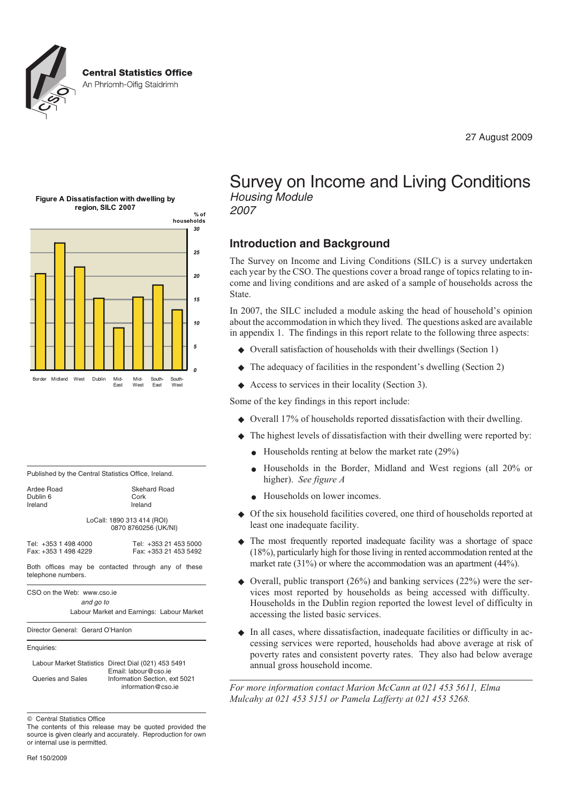

27 August 2009





| Published by the Central Statistics Office, Ireland. |  |
|------------------------------------------------------|--|
|------------------------------------------------------|--|

| Ardee Road           | <b>Skehard Road</b>                                |  |  |  |  |
|----------------------|----------------------------------------------------|--|--|--|--|
| Dublin 6             | Cork                                               |  |  |  |  |
| Ireland              | Ireland                                            |  |  |  |  |
|                      | LoCall: 1890 313 414 (ROI)<br>0870 8760256 (UK/NI) |  |  |  |  |
| Tel: +353 1 498 4000 | Tel: +353 21 453 5000                              |  |  |  |  |
| Fax: +353 1 498 4229 | Fax: +353 21 453 5492                              |  |  |  |  |

Both offices may be contacted through any of these telephone numbers.

CSO on the Web: www.cso.ie

*and go to*

Labour Market and Earnings: Labour Market

Director General: Gerard O'Hanlon

#### Enquiries:

Labour Market Statistics Direct Dial (021) 453 5491 Email: labour@cso.ie Queries and Sales Information Section, ext 5021 information@cso.ie

 $©$  Central Statistics Office

The contents of this release may be quoted provided the source is given clearly and accurately. Reproduction for own or internal use is permitted.

Survey on Income and Living Conditions *Housing Module*

*2007*

# **Introduction and Background**

The Survey on Income and Living Conditions (SILC) is a survey undertaken each year by the CSO. The questions cover a broad range of topics relating to income and living conditions and are asked of a sample of households across the State.

In 2007, the SILC included a module asking the head of household's opinion about the accommodation in which they lived. The questions asked are available in appendix 1. The findings in this report relate to the following three aspects:

- ◆ Overall satisfaction of households with their dwellings (Section 1)
- The adequacy of facilities in the respondent's dwelling (Section 2)
- $\blacklozenge$ Access to services in their locality (Section 3).

Some of the key findings in this report include:

- ◆ Overall 17% of households reported dissatisfaction with their dwelling.
- $\bullet$  The highest levels of dissatisfaction with their dwelling were reported by:
	- $\bullet$  Households renting at below the market rate (29%)
	- Households in the Border, Midland and West regions (all 20% or higher). *See figure A*
	- Households on lower incomes.
- $\bullet$  Of the six household facilities covered, one third of households reported at least one inadequate facility.
- The most frequently reported inadequate facility was a shortage of space (18%), particularly high for those living in rented accommodation rented at the market rate (31%) or where the accommodation was an apartment (44%).
- $\blacklozenge$  Overall, public transport (26%) and banking services (22%) were the services most reported by households as being accessed with difficulty. Households in the Dublin region reported the lowest level of difficulty in accessing the listed basic services.
- In all cases, where dissatisfaction, inadequate facilities or difficulty in accessing services were reported, households had above average at risk of poverty rates and consistent poverty rates. They also had below average annual gross household income.

*For more information contact Marion McCann at 021 453 5611, Elma Mulcahy at 021 453 5151 or Pamela Lafferty at 021 453 5268.*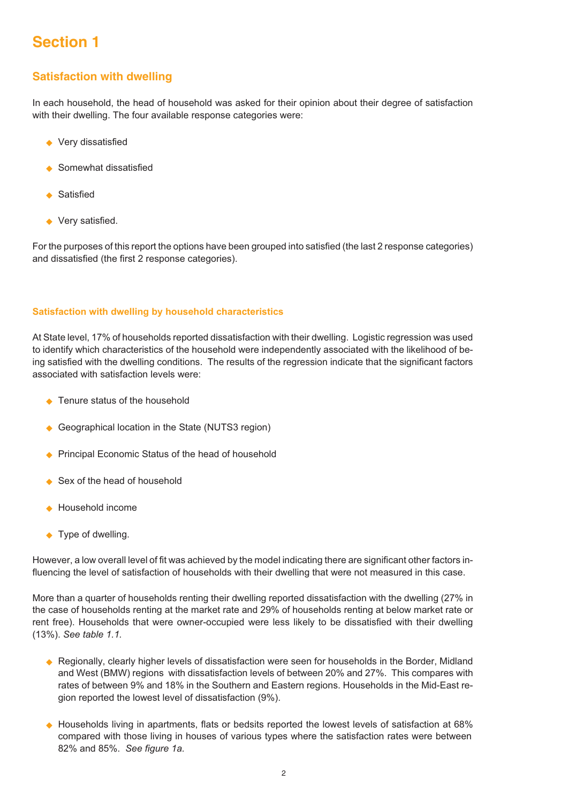# **Section 1**

# **Satisfaction with dwelling**

In each household, the head of household was asked for their opinion about their degree of satisfaction with their dwelling. The four available response categories were:

- ◆ Very dissatisfied
- ◆ Somewhat dissatisfied
- ◆ Satisfied
- ◆ Very satisfied.

For the purposes of this report the options have been grouped into satisfied (the last 2 response categories) and dissatisfied (the first 2 response categories).

#### **Satisfaction with dwelling by household characteristics**

At State level, 17% of households reported dissatisfaction with their dwelling. Logistic regression was used to identify which characteristics of the household were independently associated with the likelihood of being satisfied with the dwelling conditions. The results of the regression indicate that the significant factors associated with satisfaction levels were:

- ◆ Tenure status of the household
- ◆ Geographical location in the State (NUTS3 region)
- ◆ Principal Economic Status of the head of household
- ◆ Sex of the head of household
- ◆ Household income
- ◆ Type of dwelling.

However, a low overall level of fit was achieved by the model indicating there are significant other factors influencing the level of satisfaction of households with their dwelling that were not measured in this case.

More than a quarter of households renting their dwelling reported dissatisfaction with the dwelling (27% in the case of households renting at the market rate and 29% of households renting at below market rate or rent free). Households that were owner-occupied were less likely to be dissatisfied with their dwelling (13%). *See table 1.1.*

- ◆ Regionally, clearly higher levels of dissatisfaction were seen for households in the Border, Midland and West (BMW) regions with dissatisfaction levels of between 20% and 27%. This compares with rates of between 9% and 18% in the Southern and Eastern regions. Households in the Mid-East region reported the lowest level of dissatisfaction (9%).
- $\blacklozenge$  Households living in apartments, flats or bedsits reported the lowest levels of satisfaction at 68% compared with those living in houses of various types where the satisfaction rates were between 82% and 85%. *See figure 1a.*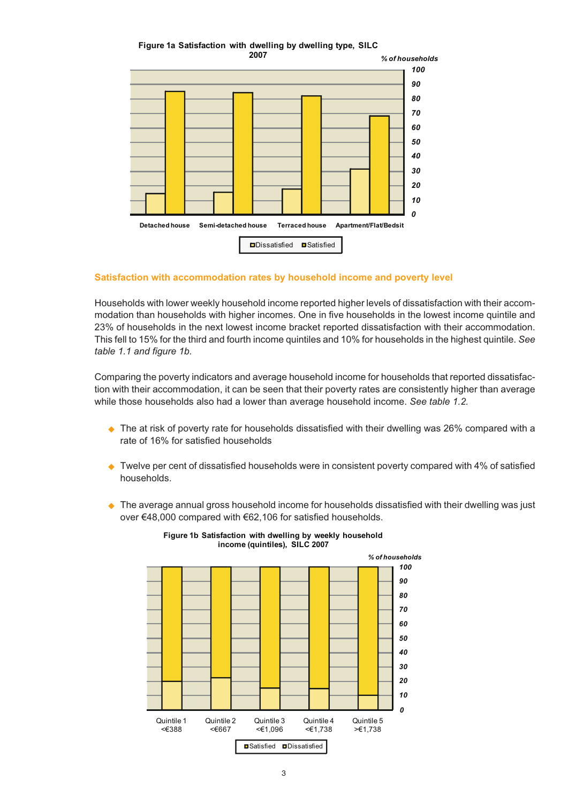**Figure 1a Satisfaction with dwelling by dwelling type, SILC**



# **Satisfaction with accommodation rates by household income and poverty level**

Households with lower weekly household income reported higher levels of dissatisfaction with their accommodation than households with higher incomes. One in five households in the lowest income quintile and 23% of households in the next lowest income bracket reported dissatisfaction with their accommodation. This fell to 15% for the third and fourth income quintiles and 10% for households in the highest quintile. *See table 1.1 and figure 1b.*

Comparing the poverty indicators and average household income for households that reported dissatisfaction with their accommodation, it can be seen that their poverty rates are consistently higher than average while those households also had a lower than average household income. *See table 1.2.*

- $\blacklozenge$  The at risk of poverty rate for households dissatisfied with their dwelling was 26% compared with a rate of 16% for satisfied households
- $\blacklozenge$  Twelve per cent of dissatisfied households were in consistent poverty compared with 4% of satisfied households.
- ◆ The average annual gross household income for households dissatisfied with their dwelling was just over €48,000 compared with €62,106 for satisfied households.



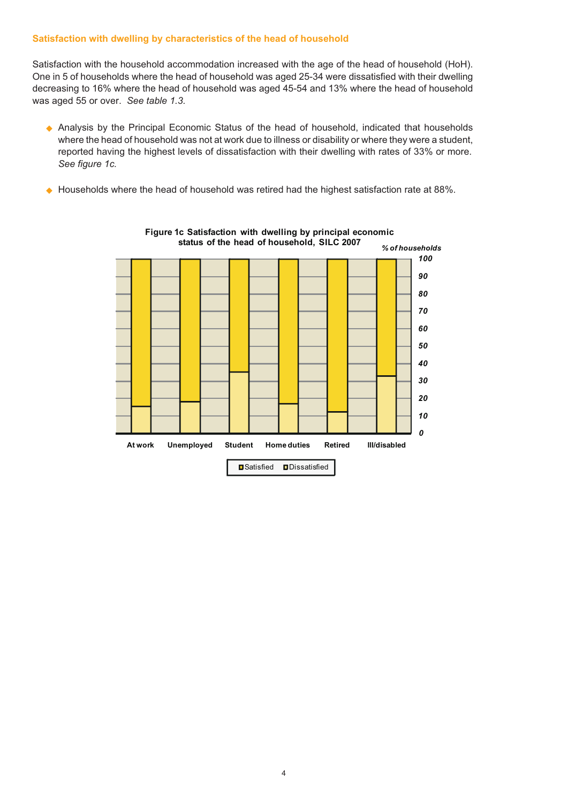## **Satisfaction with dwelling by characteristics of the head of household**

Satisfaction with the household accommodation increased with the age of the head of household (HoH). One in 5 of households where the head of household was aged 25-34 were dissatisfied with their dwelling decreasing to 16% where the head of household was aged 45-54 and 13% where the head of household was aged 55 or over. *See table 1.3.*

- Analysis by the Principal Economic Status of the head of household, indicated that households where the head of household was not at work due to illness or disability or where they were a student, reported having the highest levels of dissatisfaction with their dwelling with rates of 33% or more. *See figure 1c.*
- $\blacklozenge$ Households where the head of household was retired had the highest satisfaction rate at 88%.



**Figure 1c Satisfaction with dwelling by principal economic status of the head of household, SILC 2007**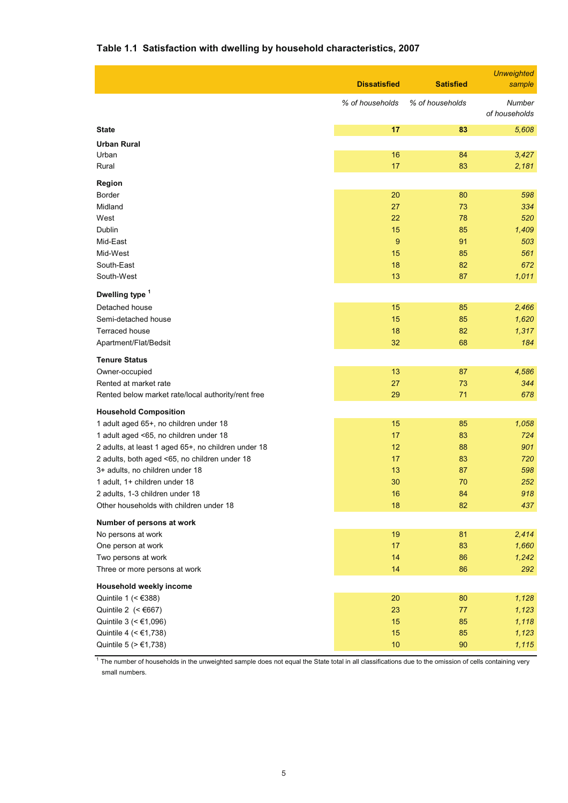# **Table 1.1 Satisfaction with dwelling by household characteristics, 2007**

|                                                                                                                                                                                                                          | <b>Dissatisfied</b>        | <b>Satisfied</b>           | <b>Unweighted</b><br>sample               |
|--------------------------------------------------------------------------------------------------------------------------------------------------------------------------------------------------------------------------|----------------------------|----------------------------|-------------------------------------------|
|                                                                                                                                                                                                                          | % of households            | % of households            | Number<br>of households                   |
| <b>State</b>                                                                                                                                                                                                             | 17                         | 83                         | 5,608                                     |
| <b>Urban Rural</b><br>Urban<br>Rural                                                                                                                                                                                     | 16<br>17                   | 84<br>83                   | 3,427<br>2,181                            |
| Region<br>Border<br>Midland<br>West<br>Dublin<br>Mid-East                                                                                                                                                                | 20<br>27<br>22<br>15<br>9  | 80<br>73<br>78<br>85<br>91 | 598<br>334<br>520<br>1,409<br>503         |
| Mid-West<br>South-East<br>South-West                                                                                                                                                                                     | 15<br>18<br>13             | 85<br>82<br>87             | 561<br>672<br>1,011                       |
| Dwelling type <sup>1</sup><br>Detached house<br>Semi-detached house<br>Terraced house<br>Apartment/Flat/Bedsit                                                                                                           | 15<br>15<br>18<br>32       | 85<br>85<br>82<br>68       | 2,466<br>1,620<br>1,317<br>184            |
| <b>Tenure Status</b><br>Owner-occupied<br>Rented at market rate<br>Rented below market rate/local authority/rent free                                                                                                    | 13<br>27<br>29             | 87<br>73<br>71             | 4,586<br>344<br>678                       |
| <b>Household Composition</b><br>1 adult aged 65+, no children under 18<br>1 adult aged <65, no children under 18<br>2 adults, at least 1 aged 65+, no children under 18<br>2 adults, both aged <65, no children under 18 | 15<br>17<br>12<br>17       | 85<br>83<br>88<br>83       | 1,058<br>724<br>901<br>720                |
| 3+ adults, no children under 18<br>1 adult, 1+ children under 18<br>2 adults, 1-3 children under 18<br>Other households with children under 18                                                                           | 13<br>30<br>16<br>18       | 87<br>70<br>84<br>82       | 598<br>252<br>918<br>437                  |
| Number of persons at work<br>No persons at work<br>One person at work<br>Two persons at work<br>Three or more persons at work                                                                                            | 19<br>17<br>14<br>14       | 81<br>83<br>86<br>86       | 2,414<br>1,660<br>1,242<br>292            |
| Household weekly income<br>Quintile 1 (< $€388$ )<br>Quintile 2 $(<6667)$<br>Quintile 3 (< €1,096)<br>Quintile 4 (< €1,738)<br>Quintile 5 (> €1,738)                                                                     | 20<br>23<br>15<br>15<br>10 | 80<br>77<br>85<br>85<br>90 | 1,128<br>1,123<br>1,118<br>1,123<br>1,115 |

<sup>1</sup> The number of households in the unweighted sample does not equal the State total in all classifications due to the omission of cells containing very small numbers.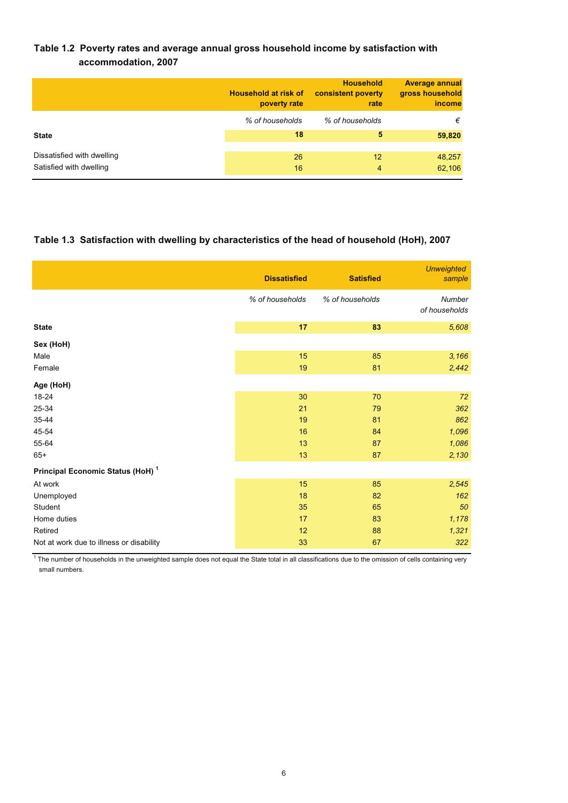# **Table 1.2 Poverty rates and average annual gross household income by satisfaction with accommodation, 2007**

|                                                       | Household at risk of<br>poverty rate | <b>Household</b><br>consistent poverty<br>rate | <b>Average annual</b><br>gross household<br>income |
|-------------------------------------------------------|--------------------------------------|------------------------------------------------|----------------------------------------------------|
|                                                       | % of households                      | % of households                                | €                                                  |
| <b>State</b>                                          | 18                                   | 5                                              | 59,820                                             |
| Dissatisfied with dwelling<br>Satisfied with dwelling | 26<br>16                             | 12<br>4                                        | 48,257<br>62,106                                   |

# **Table 1.3 Satisfaction with dwelling by characteristics of the head of household (HoH), 2007**

|                                              | <b>Dissatisfied</b> | <b>Satisfied</b> | <b>Unweighted</b><br>sample |
|----------------------------------------------|---------------------|------------------|-----------------------------|
|                                              | % of households     | % of households  | Number<br>of households     |
| <b>State</b>                                 | 17                  | 83               | 5,608                       |
| Sex (HoH)                                    |                     |                  |                             |
| Male                                         | 15                  | 85               | 3,166                       |
| Female                                       | 19                  | 81               | 2,442                       |
| Age (HoH)                                    |                     |                  |                             |
| 18-24                                        | 30                  | 70               | 72                          |
| 25-34                                        | 21                  | 79               | 362                         |
| 35-44                                        | 19                  | 81               | 862                         |
| 45-54                                        | 16                  | 84               | 1,096                       |
| 55-64                                        | 13                  | 87               | 1,086                       |
| $65+$                                        | 13                  | 87               | 2,130                       |
| Principal Economic Status (HoH) <sup>1</sup> |                     |                  |                             |
| At work                                      | 15                  | 85               | 2,545                       |
| Unemployed                                   | 18                  | 82               | 162                         |
| Student                                      | 35                  | 65               | 50                          |
| Home duties                                  | 17                  | 83               | 1,178                       |
| Retired                                      | 12                  | 88               | 1,321                       |
| Not at work due to illness or disability     | 33                  | 67               | 322                         |

 $1$  The number of households in the unweighted sample does not equal the State total in all classifications due to the omission of cells containing very small numbers.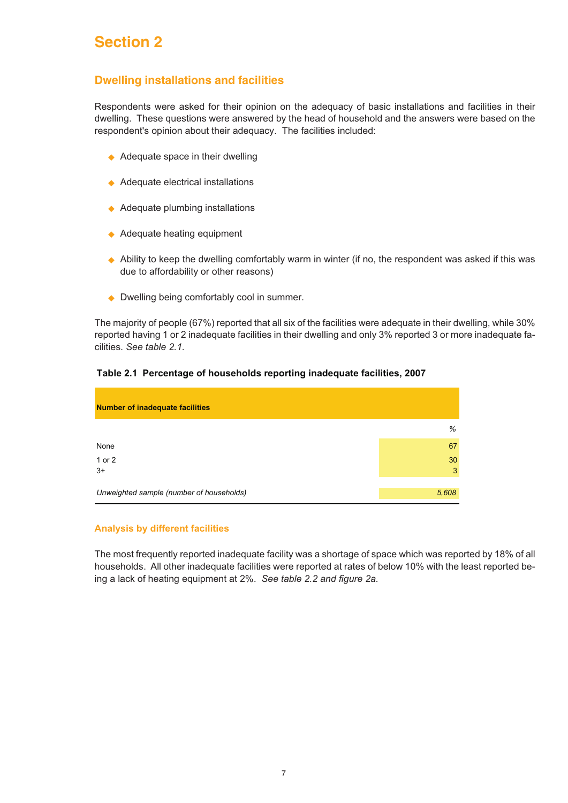# **Section 2**

# **Dwelling installations and facilities**

Respondents were asked for their opinion on the adequacy of basic installations and facilities in their dwelling. These questions were answered by the head of household and the answers were based on the respondent's opinion about their adequacy. The facilities included:

- ◆ Adequate space in their dwelling
- ◆ Adequate electrical installations
- ◆ Adequate plumbing installations
- ◆ Adequate heating equipment
- ◆ Ability to keep the dwelling comfortably warm in winter (if no, the respondent was asked if this was due to affordability or other reasons)
- ◆ Dwelling being comfortably cool in summer.

The majority of people (67%) reported that all six of the facilities were adequate in their dwelling, while 30% reported having 1 or 2 inadequate facilities in their dwelling and only 3% reported 3 or more inadequate facilities. *See table 2.1.*

# **Table 2.1 Percentage of households reporting inadequate facilities, 2007**

| <b>Number of inadequate facilities</b>   |         |
|------------------------------------------|---------|
|                                          | %       |
| None                                     | 67      |
| 1 or 2<br>$3+$                           | 30<br>3 |
| Unweighted sample (number of households) | 5,608   |

#### **Analysis by different facilities**

The most frequently reported inadequate facility was a shortage of space which was reported by 18% of all households. All other inadequate facilities were reported at rates of below 10% with the least reported being a lack of heating equipment at 2%. *See table 2.2 and figure 2a.*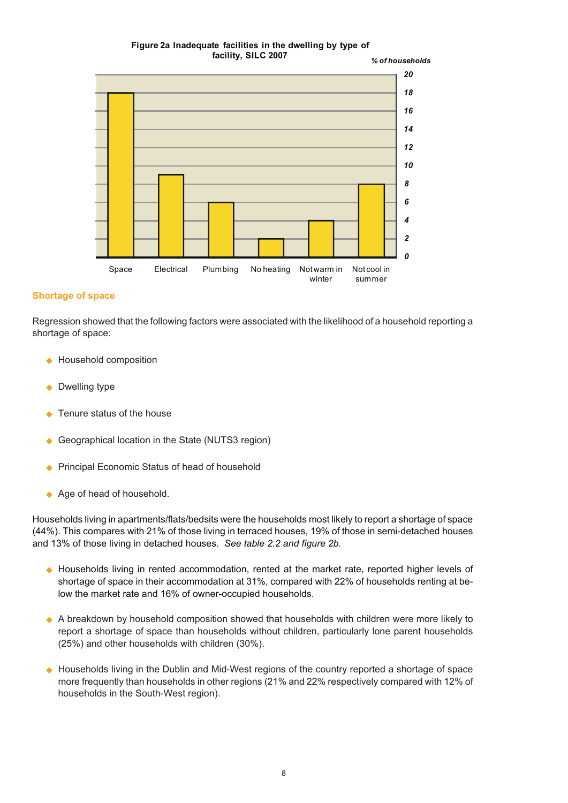#### **Figure 2a Inadequate facilities in the dwelling by type of facility, SILC 2007**



# **Shortage of space**

Regression showed that the following factors were associated with the likelihood of a household reporting a shortage of space:

- ◆ Household composition
- ◆ Dwelling type
- ◆ Tenure status of the house
- $\bullet$ Geographical location in the State (NUTS3 region)
- $\blacklozenge$ Principal Economic Status of head of household
- ◆ Age of head of household.

Households living in apartments/flats/bedsits were the households most likely to report a shortage of space (44%). This compares with 21% of those living in terraced houses, 19% of those in semi-detached houses and 13% of those living in detached houses. *See table 2.2 and figure 2b.*

- ◆ Households living in rented accommodation, rented at the market rate, reported higher levels of shortage of space in their accommodation at 31%, compared with 22% of households renting at below the market rate and 16% of owner-occupied households.
- ◆ A breakdown by household composition showed that households with children were more likely to report a shortage of space than households without children, particularly lone parent households (25%) and other households with children (30%).
- ◆ Households living in the Dublin and Mid-West regions of the country reported a shortage of space more frequently than households in other regions (21% and 22% respectively compared with 12% of households in the South-West region).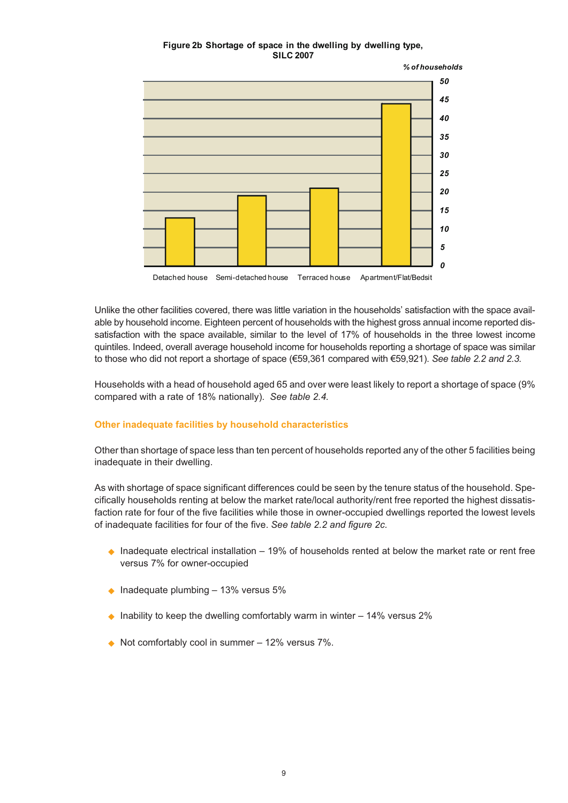#### **Figure 2b Shortage of space in the dwelling by dwelling type, SILC 2007**



Unlike the other facilities covered, there was little variation in the households' satisfaction with the space available by household income. Eighteen percent of households with the highest gross annual income reported dissatisfaction with the space available, similar to the level of 17% of households in the three lowest income quintiles. Indeed, overall average household income for households reporting a shortage of space was similar to those who did not report a shortage of space (€59,361 compared with €59,921). *See table 2.2 and 2.3.*

Households with a head of household aged 65 and over were least likely to report a shortage of space (9% compared with a rate of 18% nationally). *See table 2.4.*

# **Other inadequate facilities by household characteristics**

Other than shortage of space less than ten percent of households reported any of the other 5 facilities being inadequate in their dwelling.

As with shortage of space significant differences could be seen by the tenure status of the household. Specifically households renting at below the market rate/local authority/rent free reported the highest dissatisfaction rate for four of the five facilities while those in owner-occupied dwellings reported the lowest levels of inadequate facilities for four of the five. *See table 2.2 and figure 2c.*

- $\bullet$  Inadequate electrical installation  $-$  19% of households rented at below the market rate or rent free versus 7% for owner-occupied
- $\bullet$  Inadequate plumbing 13% versus 5%
- $\blacklozenge$  Inability to keep the dwelling comfortably warm in winter 14% versus 2%
- $\blacklozenge$  Not comfortably cool in summer 12% versus 7%.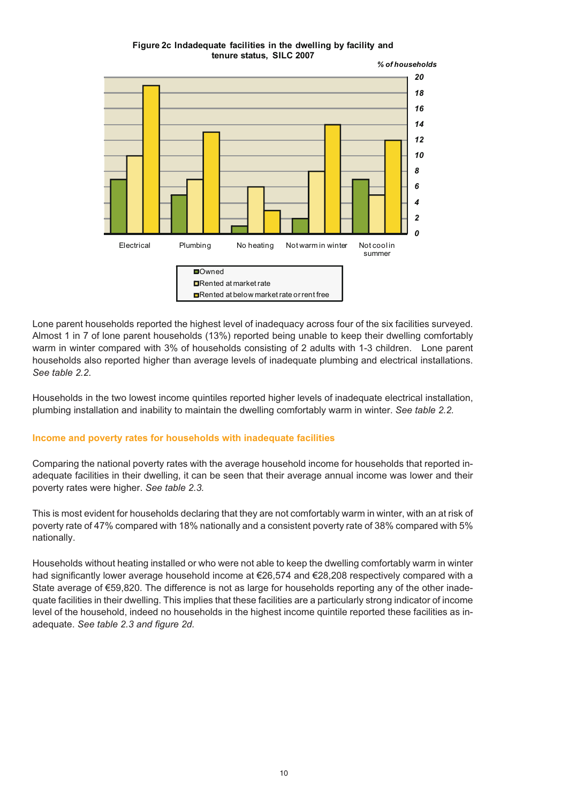#### **Figure 2c Indadequate facilities in the dwelling by facility and tenure status, SILC 2007**



Lone parent households reported the highest level of inadequacy across four of the six facilities surveyed. Almost 1 in 7 of lone parent households (13%) reported being unable to keep their dwelling comfortably warm in winter compared with 3% of households consisting of 2 adults with 1-3 children. Lone parent households also reported higher than average levels of inadequate plumbing and electrical installations. *See table 2.2*.

Households in the two lowest income quintiles reported higher levels of inadequate electrical installation, plumbing installation and inability to maintain the dwelling comfortably warm in winter. *See table 2.2.*

# **Income and poverty rates for households with inadequate facilities**

Comparing the national poverty rates with the average household income for households that reported inadequate facilities in their dwelling, it can be seen that their average annual income was lower and their poverty rates were higher. *See table 2.3.*

This is most evident for households declaring that they are not comfortably warm in winter, with an at risk of poverty rate of 47% compared with 18% nationally and a consistent poverty rate of 38% compared with 5% nationally.

Households without heating installed or who were not able to keep the dwelling comfortably warm in winter had significantly lower average household income at €26,574 and €28,208 respectively compared with a State average of €59,820. The difference is not as large for households reporting any of the other inadequate facilities in their dwelling. This implies that these facilities are a particularly strong indicator of income level of the household, indeed no households in the highest income quintile reported these facilities as inadequate. *See table 2.3 and figure 2d.*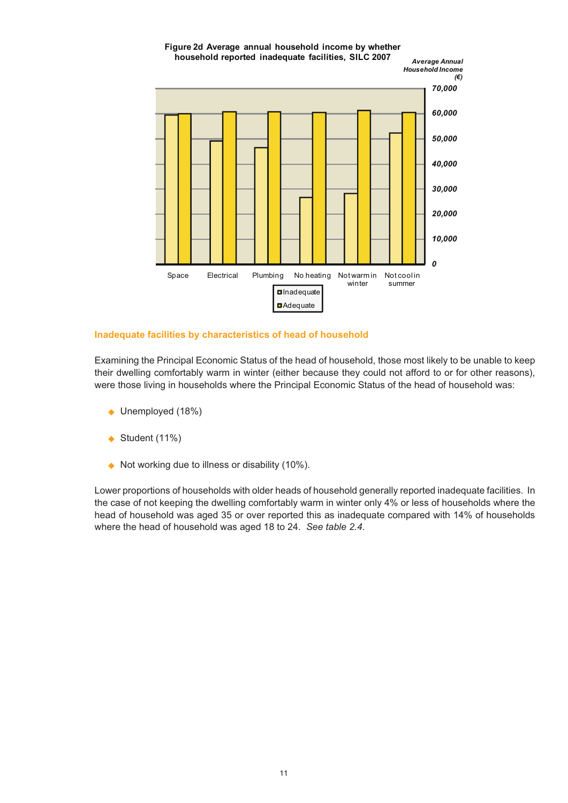

# **Inadequate facilities by characteristics of head of household**

Examining the Principal Economic Status of the head of household, those most likely to be unable to keep their dwelling comfortably warm in winter (either because they could not afford to or for other reasons), were those living in households where the Principal Economic Status of the head of household was:

- ◆ Unemployed (18%)
- $\blacklozenge$  Student (11%)
- ◆ Not working due to illness or disability (10%).

Lower proportions of households with older heads of household generally reported inadequate facilities. In the case of not keeping the dwelling comfortably warm in winter only 4% or less of households where the head of household was aged 35 or over reported this as inadequate compared with 14% of households where the head of household was aged 18 to 24. *See table 2.4.*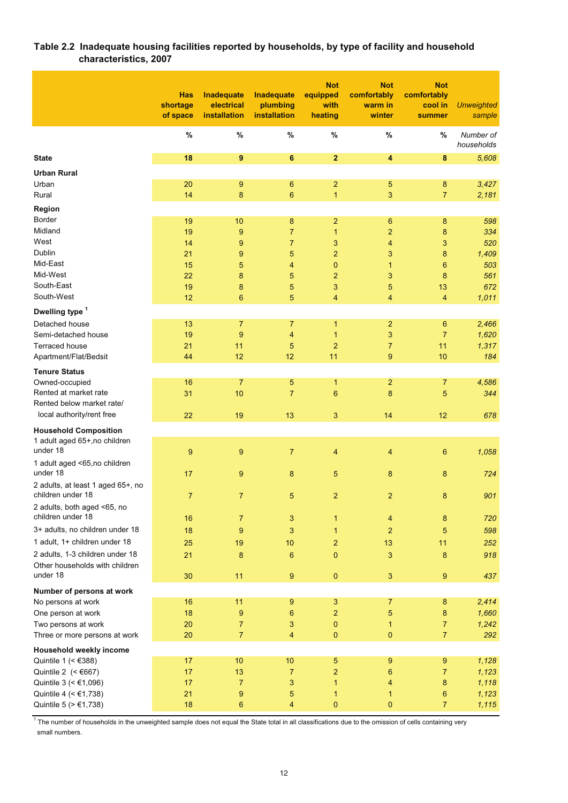# **Table 2.2 Inadequate housing facilities reported by households, by type of facility and household characteristics, 2007**

|                                                  | <b>Has</b><br>shortage<br>of space | Inadequate<br>electrical<br>installation | Inadequate<br>plumbing<br>installation | <b>Not</b><br>equipped<br>with<br>heating | <b>Not</b><br>comfortably<br>warm in<br>winter | <b>Not</b><br>comfortably<br>cool in<br>summer | <b>Unweighted</b><br>sample |
|--------------------------------------------------|------------------------------------|------------------------------------------|----------------------------------------|-------------------------------------------|------------------------------------------------|------------------------------------------------|-----------------------------|
|                                                  | $\%$                               | $\%$                                     | $\%$                                   | $\%$                                      | $\%$                                           | %                                              | Number of<br>households     |
| <b>State</b>                                     | 18                                 | 9                                        | 6                                      | $\overline{2}$                            | $\overline{\mathbf{4}}$                        | 8                                              | 5,608                       |
| <b>Urban Rural</b>                               |                                    |                                          |                                        |                                           |                                                |                                                |                             |
| Urban                                            | 20                                 | 9                                        | 6                                      | $\overline{2}$                            | 5                                              | 8                                              | 3,427                       |
| Rural                                            | 14                                 | 8                                        | 6                                      | $\mathbf{1}$                              | 3                                              | $\overline{7}$                                 | 2,181                       |
| Region                                           |                                    |                                          |                                        |                                           |                                                |                                                |                             |
| <b>Border</b>                                    | 19                                 | 10                                       | 8                                      | $\overline{2}$                            | $\boldsymbol{6}$                               | 8                                              | 598                         |
| Midland                                          | 19                                 | 9                                        | $\overline{7}$                         | $\mathbf{1}$                              | $\overline{c}$                                 | 8                                              | 334                         |
| West                                             | 14                                 | 9                                        | $\overline{7}$                         | 3                                         | $\overline{\mathbf{4}}$                        | 3                                              | 520                         |
| Dublin                                           | 21                                 | 9                                        | 5                                      | $\overline{2}$                            | 3                                              | 8                                              | 1,409                       |
| Mid-East<br>Mid-West                             | 15                                 | 5                                        | 4                                      | 0                                         | $\mathbf{1}$                                   | 6                                              | 503                         |
| South-East                                       | 22<br>19                           | 8<br>8                                   | 5<br>5                                 | $\overline{2}$                            | 3<br>5                                         | 8                                              | 561<br>672                  |
| South-West                                       | 12 <sup>2</sup>                    | $6\phantom{1}$                           | 5                                      | 3<br>4                                    | 4                                              | 13<br>4                                        | 1,011                       |
|                                                  |                                    |                                          |                                        |                                           |                                                |                                                |                             |
| Dwelling type <sup>1</sup>                       |                                    |                                          |                                        |                                           |                                                |                                                |                             |
| Detached house<br>Semi-detached house            | 13<br>19                           | $\overline{7}$<br>9                      | $\overline{7}$<br>$\overline{4}$       | $\mathbf{1}$<br>$\mathbf{1}$              | $\overline{2}$<br>$\sqrt{3}$                   | 6<br>$\overline{7}$                            | 2,466<br>1,620              |
| <b>Terraced house</b>                            | 21                                 | 11                                       | 5                                      | $\overline{2}$                            | $\overline{7}$                                 | 11                                             | 1,317                       |
| Apartment/Flat/Bedsit                            | 44                                 | 12                                       | 12                                     | 11                                        | 9                                              | 10                                             | 184                         |
| <b>Tenure Status</b>                             |                                    |                                          |                                        |                                           |                                                |                                                |                             |
| Owned-occupied                                   | 16                                 | $\overline{7}$                           | 5                                      | $\mathbf{1}$                              | $\overline{2}$                                 | $\overline{7}$                                 | 4,586                       |
| Rented at market rate                            | 31                                 | 10                                       | $\overline{7}$                         | $6\phantom{1}6$                           | 8                                              | 5                                              | 344                         |
| Rented below market rate/                        |                                    |                                          |                                        |                                           |                                                |                                                |                             |
| local authority/rent free                        | 22                                 | 19                                       | 13                                     | 3                                         | 14                                             | 12                                             | 678                         |
| <b>Household Composition</b>                     |                                    |                                          |                                        |                                           |                                                |                                                |                             |
| 1 adult aged 65+, no children                    |                                    |                                          |                                        |                                           |                                                |                                                |                             |
| under 18                                         | 9                                  | 9                                        | $\overline{7}$                         | $\overline{4}$                            | $\overline{4}$                                 | 6                                              | 1,058                       |
| 1 adult aged <65,no children                     |                                    |                                          |                                        |                                           |                                                |                                                |                             |
| under 18                                         | 17                                 | 9                                        | 8                                      | 5                                         | 8                                              | 8                                              | 724                         |
| 2 adults, at least 1 aged 65+, no                |                                    |                                          |                                        |                                           |                                                |                                                |                             |
| children under 18                                | $\overline{7}$                     | $\overline{7}$                           | 5                                      | $\overline{2}$                            | $\overline{2}$                                 | 8                                              | 901                         |
| 2 adults, both aged <65, no<br>children under 18 |                                    |                                          |                                        |                                           |                                                |                                                |                             |
| 3+ adults, no children under 18                  | 16                                 | $\overline{7}$                           | 3                                      | 1                                         | $\overline{4}$                                 | 8                                              | 720                         |
| 1 adult, 1+ children under 18                    | 18                                 | $\overline{9}$                           | 3                                      | 1                                         | $\overline{2}$                                 | 5                                              | 598                         |
| 2 adults, 1-3 children under 18                  | 25                                 | 19                                       | 10                                     | 2                                         | 13                                             | 11                                             | 252                         |
| Other households with children                   | 21                                 | 8                                        | 6                                      | $\mathbf{0}$                              | 3                                              | 8                                              | 918                         |
| under 18                                         | 30                                 | 11                                       | 9                                      | $\pmb{0}$                                 | $\sqrt{3}$                                     | $\boldsymbol{9}$                               | 437                         |
| Number of persons at work                        |                                    |                                          |                                        |                                           |                                                |                                                |                             |
| No persons at work                               | 16                                 | 11                                       | 9                                      | 3                                         | $\overline{7}$                                 | 8                                              | 2,414                       |
| One person at work                               | 18                                 | 9                                        | 6                                      | 2                                         | 5                                              | 8                                              | 1,660                       |
| Two persons at work                              | 20                                 | $\overline{7}$                           | 3                                      | 0                                         | 1                                              | 7                                              | 1,242                       |
| Three or more persons at work                    | 20                                 | $\overline{7}$                           | $\overline{4}$                         | 0                                         | $\mathbf{0}$                                   | $\overline{7}$                                 | 292                         |
| Household weekly income                          |                                    |                                          |                                        |                                           |                                                |                                                |                             |
| Quintile 1 (< $€388$ )                           | 17                                 | 10                                       | 10                                     | 5                                         | 9                                              | 9                                              | 1,128                       |
| Quintile 2 $(<6667)$                             | 17                                 | 13                                       | $\overline{7}$                         | $\overline{\mathbf{c}}$                   | 6                                              | 7                                              | 1,123                       |
| Quintile 3 (< €1,096)                            | 17                                 | $\overline{7}$                           | 3                                      | 1                                         | 4                                              | 8                                              | 1,118                       |
| Quintile 4 (< €1,738)                            | 21                                 | 9                                        | 5                                      | $\mathbf{1}$                              | 1                                              | 6                                              | 1,123                       |
| Quintile 5 (> €1,738)                            | 18                                 | 6                                        | 4                                      | 0                                         | $\mathbf 0$                                    | $\overline{7}$                                 | 1,115                       |

 $1$  The number of households in the unweighted sample does not equal the State total in all classifications due to the omission of cells containing very small numbers.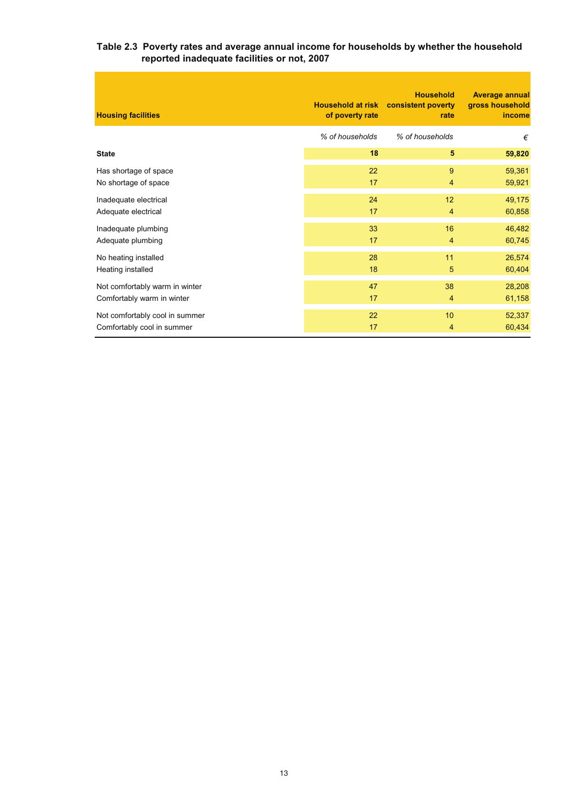# **Table 2.3 Poverty rates and average annual income for households by whether the household reported inadequate facilities or not, 2007**

| <b>Housing facilities</b>      | of poverty rate | <b>Household</b><br>Household at risk consistent poverty<br>rate | <b>Average annual</b><br>gross household<br>income |
|--------------------------------|-----------------|------------------------------------------------------------------|----------------------------------------------------|
|                                | % of households | % of households                                                  | €                                                  |
| <b>State</b>                   | 18              | 5                                                                | 59,820                                             |
| Has shortage of space          | 22              | 9                                                                | 59,361                                             |
| No shortage of space           | 17              | 4                                                                | 59,921                                             |
| Inadequate electrical          | 24              | 12                                                               | 49,175                                             |
| Adequate electrical            | 17              | 4                                                                | 60,858                                             |
| Inadequate plumbing            | 33              | 16                                                               | 46,482                                             |
| Adequate plumbing              | 17              | 4                                                                | 60,745                                             |
| No heating installed           | 28              | 11                                                               | 26,574                                             |
| Heating installed              | 18              | 5                                                                | 60,404                                             |
| Not comfortably warm in winter | 47              | 38                                                               | 28,208                                             |
| Comfortably warm in winter     | 17              | 4                                                                | 61,158                                             |
| Not comfortably cool in summer | 22              | 10                                                               | 52,337                                             |
| Comfortably cool in summer     | 17              | 4                                                                | 60,434                                             |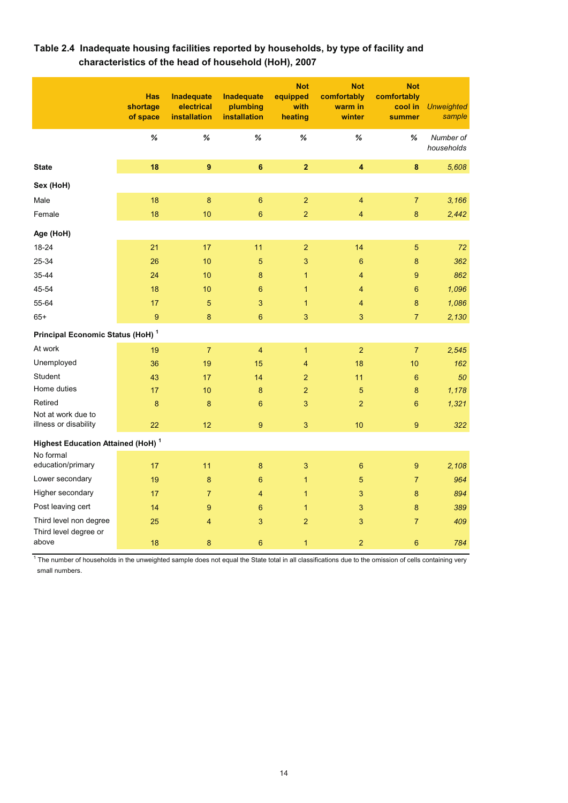|                                                      | <b>Has</b><br>shortage<br>of space | Inadequate<br>electrical<br>installation | <b>Inadequate</b><br>plumbing<br>installation | <b>Not</b><br>equipped<br>with<br>heating | <b>Not</b><br>comfortably<br>warm in<br>winter | <b>Not</b><br>comfortably<br>cool in<br>summer | <b>Unweighted</b><br>sample |
|------------------------------------------------------|------------------------------------|------------------------------------------|-----------------------------------------------|-------------------------------------------|------------------------------------------------|------------------------------------------------|-----------------------------|
|                                                      | %                                  | $\%$                                     | %                                             | %                                         | $\%$                                           | %                                              | Number of<br>households     |
| <b>State</b>                                         | 18                                 | $\boldsymbol{9}$                         | $6\phantom{a}$                                | $\overline{2}$                            | $\overline{\mathbf{4}}$                        | $\pmb{8}$                                      | 5,608                       |
| Sex (HoH)                                            |                                    |                                          |                                               |                                           |                                                |                                                |                             |
| Male                                                 | 18                                 | 8                                        | $\boldsymbol{6}$                              | $\overline{2}$                            | 4                                              | $\overline{7}$                                 | 3,166                       |
| Female                                               | 18                                 | 10                                       | $\boldsymbol{6}$                              | $\overline{2}$                            | $\overline{\mathbf{4}}$                        | 8                                              | 2,442                       |
| Age (HoH)                                            |                                    |                                          |                                               |                                           |                                                |                                                |                             |
| 18-24                                                | 21                                 | 17                                       | 11                                            | $\overline{2}$                            | 14                                             | 5                                              | 72                          |
| 25-34                                                | 26                                 | 10                                       | $\sqrt{5}$                                    | $\mathbf{3}$                              | $6\phantom{1}6$                                | 8                                              | 362                         |
| 35-44                                                | 24                                 | 10                                       | 8                                             | $\mathbf{1}$                              | 4                                              | 9                                              | 862                         |
| 45-54                                                | 18                                 | 10                                       | $6\phantom{1}6$                               | $\mathbf{1}$                              | 4                                              | 6                                              | 1,096                       |
| 55-64                                                | 17                                 | 5                                        | 3                                             | $\mathbf{1}$                              | 4                                              | 8                                              | 1,086                       |
| $65+$                                                | $\overline{9}$                     | $\bf 8$                                  | $6\phantom{1}$                                | 3                                         | $\mathbf{3}$                                   | $\overline{7}$                                 | 2,130                       |
| Principal Economic Status (HoH) <sup>1</sup>         |                                    |                                          |                                               |                                           |                                                |                                                |                             |
| At work                                              | 19                                 | $\overline{7}$                           | 4                                             | $\mathbf{1}$                              | $\overline{2}$                                 | $\overline{7}$                                 | 2,545                       |
| Unemployed                                           | 36                                 | 19                                       | 15                                            | 4                                         | 18                                             | 10                                             | 162                         |
| Student                                              | 43                                 | 17                                       | 14                                            | $\overline{2}$                            | 11                                             | 6                                              | 50                          |
| Home duties                                          | 17                                 | 10                                       | 8                                             | $\overline{2}$                            | 5                                              | 8                                              | 1,178                       |
| Retired                                              | 8                                  | 8                                        | $6\phantom{1}$                                | 3                                         | $\overline{a}$                                 | $6\phantom{1}$                                 | 1,321                       |
| Not at work due to<br>illness or disability          | 22                                 | 12                                       | 9                                             | 3                                         | 10                                             | 9                                              | 322                         |
| <b>Highest Education Attained (HoH)</b> <sup>1</sup> |                                    |                                          |                                               |                                           |                                                |                                                |                             |
| No formal<br>education/primary                       | 17                                 | 11                                       | 8                                             | 3                                         | $6\phantom{1}6$                                | 9                                              | 2.108                       |
| Lower secondary                                      | 19                                 | 8                                        | $6\phantom{1}$                                | $\mathbf{1}$                              | 5                                              | $\overline{7}$                                 | 964                         |
| Higher secondary                                     | 17                                 | $\overline{7}$                           | $\overline{4}$                                | $\mathbf{1}$                              | 3                                              | 8                                              | 894                         |
| Post leaving cert                                    | 14                                 | $\boldsymbol{9}$                         | $6\phantom{1}$                                | $\mathbf{1}$                              | 3                                              | 8                                              | 389                         |
| Third level non degree                               | 25                                 | 4                                        | 3                                             | $\overline{2}$                            | 3                                              | $\overline{7}$                                 | 409                         |
| Third level degree or<br>above                       | 18                                 | $\bf 8$                                  | $6\phantom{1}$                                | $\mathbf{1}$                              | $\overline{2}$                                 | $6\phantom{1}$                                 | 784                         |

# **Table 2.4 Inadequate housing facilities reported by households, by type of facility and characteristics of the head of household (HoH), 2007**

 $1$  The number of households in the unweighted sample does not equal the State total in all classifications due to the omission of cells containing very small numbers.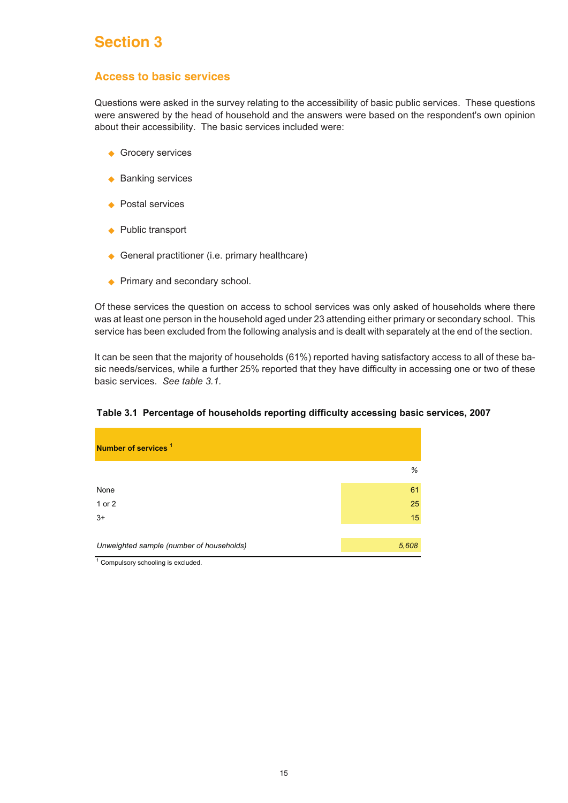# **Section 3**

# **Access to basic services**

Questions were asked in the survey relating to the accessibility of basic public services. These questions were answered by the head of household and the answers were based on the respondent's own opinion about their accessibility. The basic services included were:

- ◆ Grocery services
- ◆ Banking services
- ◆ Postal services
- ◆ Public transport
- ◆ General practitioner (i.e. primary healthcare)
- ◆ Primary and secondary school.

Of these services the question on access to school services was only asked of households where there was at least one person in the household aged under 23 attending either primary or secondary school. This service has been excluded from the following analysis and is dealt with separately at the end of the section.

It can be seen that the majority of households (61%) reported having satisfactory access to all of these basic needs/services, while a further 25% reported that they have difficulty in accessing one or two of these basic services. *See table 3.1.*

| Number of services <sup>1</sup>                            |       |
|------------------------------------------------------------|-------|
|                                                            | %     |
| None                                                       | 61    |
| 1 or 2                                                     | 25    |
| $3+$                                                       | 15    |
|                                                            |       |
| Unweighted sample (number of households)<br>$\overline{a}$ | 5,608 |

# **Table 3.1 Percentage of households reporting difficulty accessing basic services, 2007**

 $<sup>1</sup>$  Compulsory schooling is excluded.</sup>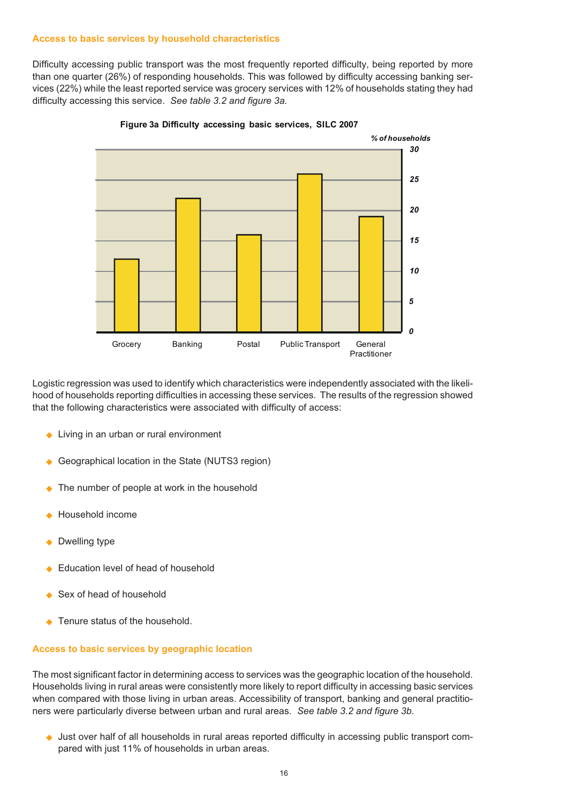#### **Access to basic services by household characteristics**

Difficulty accessing public transport was the most frequently reported difficulty, being reported by more than one quarter (26%) of responding households. This was followed by difficulty accessing banking services (22%) while the least reported service was grocery services with 12% of households stating they had difficulty accessing this service. *See table 3.2 and figure 3a.*



**Figure 3a Difficulty accessing basic services, SILC 2007**

Logistic regression was used to identify which characteristics were independently associated with the likelihood of households reporting difficulties in accessing these services. The results of the regression showed that the following characteristics were associated with difficulty of access:

- ◆ Living in an urban or rural environment
- ◆ Geographical location in the State (NUTS3 region)
- ◆ The number of people at work in the household
- $\blacklozenge$ Household income
- ◆ Dwelling type
- $\blacklozenge$ Education level of head of household
- ◆ Sex of head of household
- ◆ Tenure status of the household.

#### **Access to basic services by geographic location**

The most significant factor in determining access to services was the geographic location of the household. Households living in rural areas were consistently more likely to report difficulty in accessing basic services when compared with those living in urban areas. Accessibility of transport, banking and general practitioners were particularly diverse between urban and rural areas. *See table 3.2 and figure 3b.*

◆ Just over half of all households in rural areas reported difficulty in accessing public transport compared with just 11% of households in urban areas.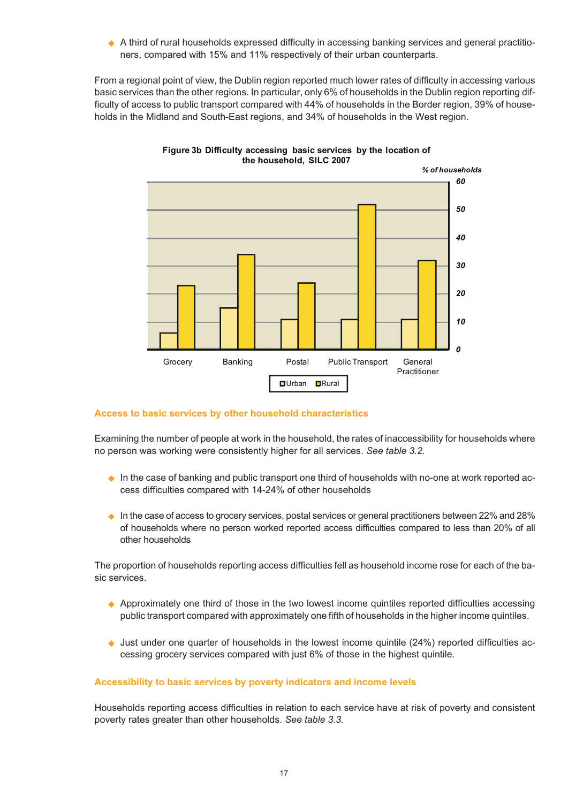◆ A third of rural households expressed difficulty in accessing banking services and general practitioners, compared with 15% and 11% respectively of their urban counterparts.

From a regional point of view, the Dublin region reported much lower rates of difficulty in accessing various basic services than the other regions. In particular, only 6% of households in the Dublin region reporting difficulty of access to public transport compared with 44% of households in the Border region, 39% of households in the Midland and South-East regions, and 34% of households in the West region.



#### **Figure 3b Difficulty accessing basic services by the location of the household, SILC 2007**

# **Access to basic services by other household characteristics**

Examining the number of people at work in the household, the rates of inaccessibility for households where no person was working were consistently higher for all services. *See table 3.2.*

- In the case of banking and public transport one third of households with no-one at work reported access difficulties compared with 14-24% of other households
- $\bullet$  In the case of access to grocery services, postal services or general practitioners between 22% and 28% of households where no person worked reported access difficulties compared to less than 20% of all other households

The proportion of households reporting access difficulties fell as household income rose for each of the basic services.

- Approximately one third of those in the two lowest income quintiles reported difficulties accessing public transport compared with approximately one fifth of households in the higher income quintiles.
- Just under one quarter of households in the lowest income quintile (24%) reported difficulties accessing grocery services compared with just 6% of those in the highest quintile.

# **Accessibility to basic services by poverty indicators and income levels**

Households reporting access difficulties in relation to each service have at risk of poverty and consistent poverty rates greater than other households. *See table 3.3.*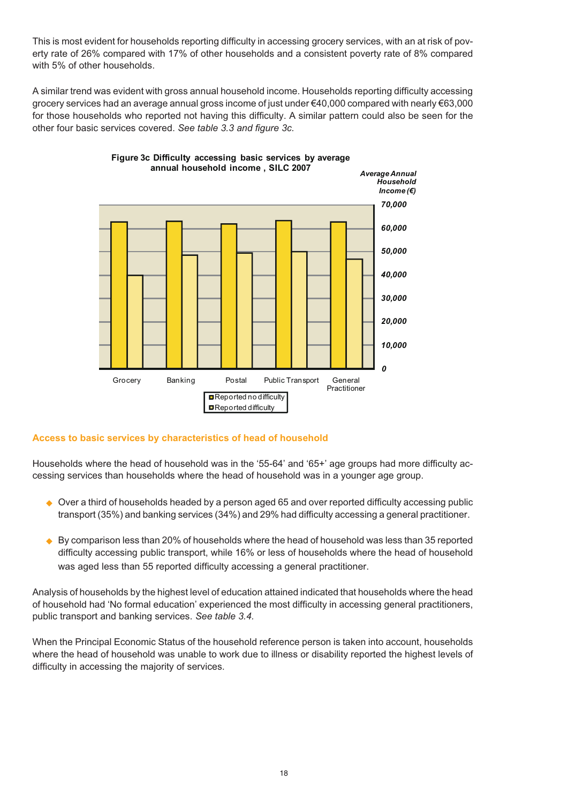This is most evident for households reporting difficulty in accessing grocery services, with an at risk of poverty rate of 26% compared with 17% of other households and a consistent poverty rate of 8% compared with 5% of other households.

A similar trend was evident with gross annual household income. Households reporting difficulty accessing grocery services had an average annual gross income of just under €40,000 compared with nearly €63,000 for those households who reported not having this difficulty. A similar pattern could also be seen for the other four basic services covered. *See table 3.3 and figure 3c.*



**Figure 3c Difficulty accessing basic services by average**

# **Access to basic services by characteristics of head of household**

Households where the head of household was in the '55-64' and '65+' age groups had more difficulty accessing services than households where the head of household was in a younger age group.

- ◆ Over a third of households headed by a person aged 65 and over reported difficulty accessing public transport (35%) and banking services (34%) and 29% had difficulty accessing a general practitioner.
- $\blacklozenge$  By comparison less than 20% of households where the head of household was less than 35 reported difficulty accessing public transport, while 16% or less of households where the head of household was aged less than 55 reported difficulty accessing a general practitioner.

Analysis of households by the highest level of education attained indicated that households where the head of household had 'No formal education' experienced the most difficulty in accessing general practitioners, public transport and banking services. *See table 3.4.*

When the Principal Economic Status of the household reference person is taken into account, households where the head of household was unable to work due to illness or disability reported the highest levels of difficulty in accessing the majority of services.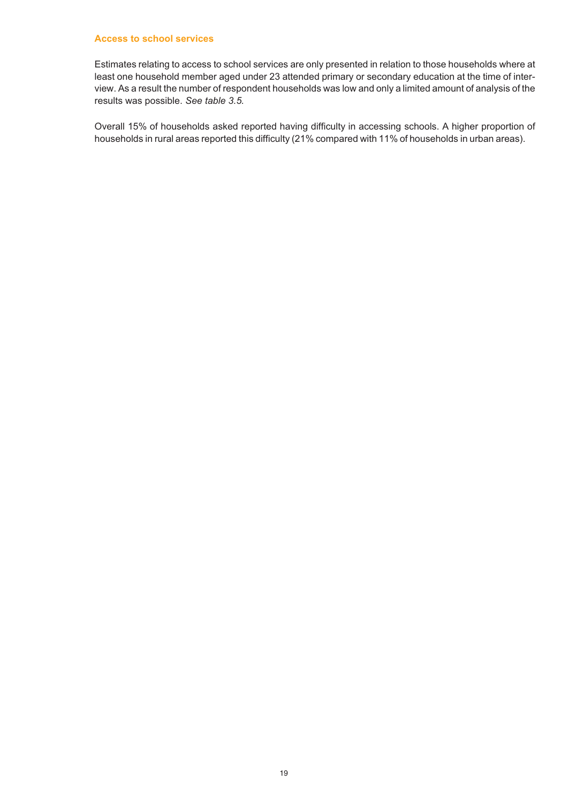#### **Access to school services**

Estimates relating to access to school services are only presented in relation to those households where at least one household member aged under 23 attended primary or secondary education at the time of interview. As a result the number of respondent households was low and only a limited amount of analysis of the results was possible. *See table 3.5.*

Overall 15% of households asked reported having difficulty in accessing schools. A higher proportion of households in rural areas reported this difficulty (21% compared with 11% of households in urban areas).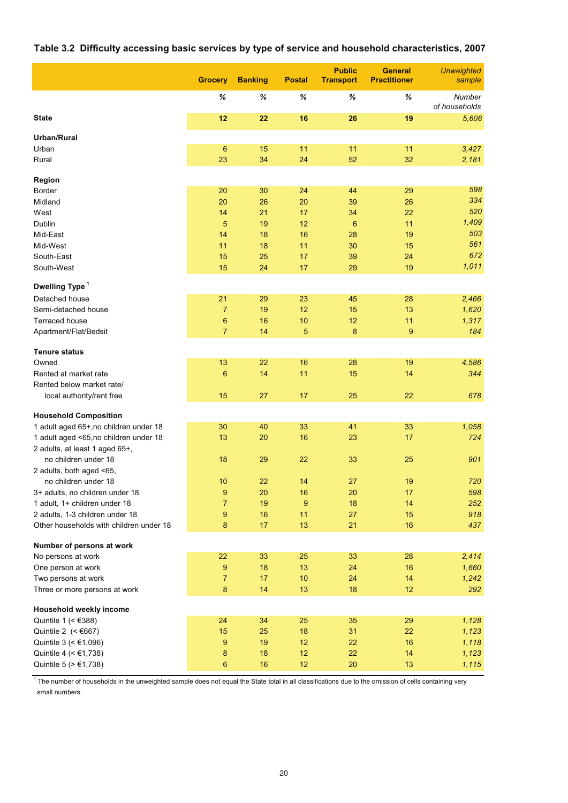# **Table 3.2 Difficulty accessing basic services by type of service and household characteristics, 2007**

|                                         | <b>Grocery</b>  | <b>Banking</b> | <b>Postal</b> | <b>Public</b><br><b>Transport</b> | <b>General</b><br><b>Practitioner</b> | <b>Unweighted</b><br>sample |
|-----------------------------------------|-----------------|----------------|---------------|-----------------------------------|---------------------------------------|-----------------------------|
|                                         | %               | %              | ℅             | %                                 | %                                     | Number<br>of households     |
| <b>State</b>                            | 12              | 22             | 16            | 26                                | 19                                    | 5,608                       |
| <b>Urban/Rural</b>                      |                 |                |               |                                   |                                       |                             |
| Urban                                   | $6\phantom{1}6$ | 15             | 11            | 11                                | 11                                    | 3,427                       |
| Rural                                   | 23              | 34             | 24            | 52                                | 32                                    | 2,181                       |
| Region                                  |                 |                |               |                                   |                                       |                             |
| <b>Border</b>                           | 20              | 30             | 24            | 44                                | 29                                    | 598                         |
| Midland                                 | 20              | 26             | 20            | 39                                | 26                                    | 334                         |
| West                                    | 14              | 21             | 17            | 34                                | 22                                    | 520                         |
| Dublin                                  | 5               | 19             | 12            | 6                                 | 11                                    | 1,409                       |
| Mid-East                                | 14              | 18             | 16            | 28                                | 19                                    | 503                         |
| Mid-West                                | 11              | 18             | 11            | 30                                | 15                                    | 561                         |
| South-East                              | 15              | 25             | 17            | 39                                | 24                                    | 672                         |
| South-West                              | 15              | 24             | 17            | 29                                | 19                                    | 1,011                       |
| Dwelling Type <sup>1</sup>              |                 |                |               |                                   |                                       |                             |
| Detached house                          | 21              | 29             | 23            | 45                                | 28                                    | 2,466                       |
| Semi-detached house                     | $\overline{7}$  | 19             | 12            | 15                                | 13                                    | 1,620                       |
| Terraced house                          | 6               | 16             | 10            | 12                                | 11                                    | 1,317                       |
| Apartment/Flat/Bedsit                   | $\overline{7}$  | 14             | 5             | 8                                 | 9                                     | 184                         |
|                                         |                 |                |               |                                   |                                       |                             |
| <b>Tenure status</b><br>Owned           | 13              | 22             | 16            | 28                                | 19                                    | 4,586                       |
| Rented at market rate                   | 6               | 14             | 11            | 15                                | 14                                    | 344                         |
| Rented below market rate/               |                 |                |               |                                   |                                       |                             |
| local authority/rent free               | 15              | 27             | 17            | 25                                | 22                                    | 678                         |
|                                         |                 |                |               |                                   |                                       |                             |
| <b>Household Composition</b>            |                 |                |               |                                   |                                       |                             |
| 1 adult aged 65+, no children under 18  | 30              | 40             | 33            | 41                                | 33                                    | 1,058                       |
| 1 adult aged <65,no children under 18   | 13              | 20             | 16            | 23                                | 17                                    | 724                         |
| 2 adults, at least 1 aged 65+,          |                 |                |               |                                   |                                       |                             |
| no children under 18                    | 18              | 29             | 22            | 33                                | 25                                    | 901                         |
| 2 adults, both aged <65,                |                 |                |               |                                   |                                       |                             |
| no children under 18                    | 10              | 22             | 14            | 27                                | 19                                    | 720                         |
| 3+ adults, no children under 18         | 9               | 20             | 16            | 20                                | 17                                    | 598                         |
| 1 adult, 1+ children under 18           | $\overline{7}$  | 19             | 9             | 18                                | 14                                    | 252                         |
| 2 adults, 1-3 children under 18         | 9               | 16             | 11            | 27                                | 15                                    | 918                         |
| Other households with children under 18 | $\bf 8$         | 17             | 13            | 21                                | 16                                    | 437                         |
| Number of persons at work               |                 |                |               |                                   |                                       |                             |
| No persons at work                      | 22              | 33             | 25            | 33                                | 28                                    | 2,414                       |
| One person at work                      | 9               | 18             | 13            | 24                                | 16                                    | 1,660                       |
| Two persons at work                     | $\overline{7}$  | 17             | 10            | 24                                | 14                                    | 1,242                       |
| Three or more persons at work           | $\bf 8$         | 14             | 13            | 18                                | 12                                    | 292                         |
| Household weekly income                 |                 |                |               |                                   |                                       |                             |
| Quintile 1 (< $€388$ )                  | 24              | 34             | 25            | 35                                | 29                                    | 1,128                       |
| Quintile 2 $(<6667)$                    | 15              | 25             | 18            | 31                                | 22                                    | 1,123                       |
| Quintile 3 ( < €1,096)                  | 9               | 19             | 12            | 22                                | 16                                    | 1,118                       |
| Quintile 4 (< €1,738)                   | 8               | 18             | 12            | 22                                | 14                                    | 1,123                       |
| Quintile 5 (> €1,738)                   | 6               | 16             | 12            | 20                                | 13                                    | 1,115                       |

<sup>1</sup> The number of households in the unweighted sample does not equal the State total in all classifications due to the omission of cells containing very small numbers.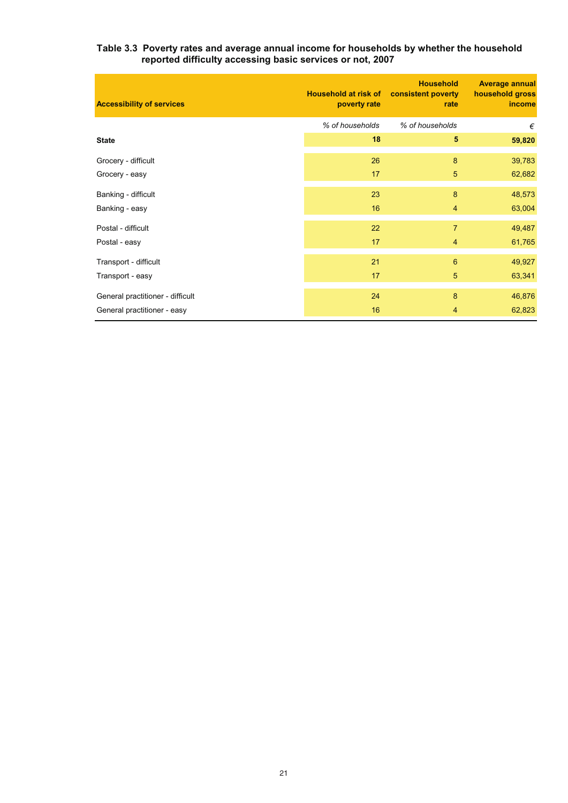#### **Table 3.3 Poverty rates and average annual income for households by whether the household reported difficulty accessing basic services or not, 2007**

| <b>Accessibility of services</b> | <b>Household at risk of</b><br>poverty rate | <b>Household</b><br>consistent poverty<br>rate | <b>Average annual</b><br>household gross<br>income |
|----------------------------------|---------------------------------------------|------------------------------------------------|----------------------------------------------------|
|                                  | % of households                             | % of households                                | €                                                  |
| <b>State</b>                     | 18                                          | $\sqrt{5}$                                     | 59,820                                             |
| Grocery - difficult              | 26                                          | 8                                              | 39,783                                             |
| Grocery - easy                   | 17                                          | 5                                              | 62,682                                             |
| Banking - difficult              | 23                                          | 8                                              | 48,573                                             |
| Banking - easy                   | 16                                          | $\overline{4}$                                 | 63,004                                             |
| Postal - difficult               | 22                                          | $\overline{7}$                                 | 49,487                                             |
| Postal - easy                    | 17                                          | $\overline{4}$                                 | 61,765                                             |
| Transport - difficult            | 21                                          | 6                                              | 49,927                                             |
| Transport - easy                 | 17                                          | 5                                              | 63,341                                             |
| General practitioner - difficult | 24                                          | 8                                              | 46,876                                             |
| General practitioner - easy      | 16                                          | $\overline{4}$                                 | 62,823                                             |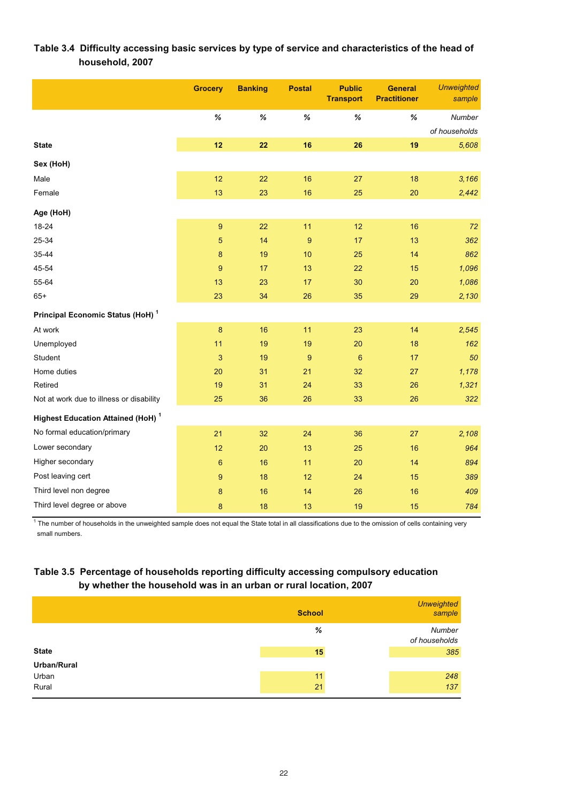# **Table 3.4 Difficulty accessing basic services by type of service and characteristics of the head of household, 2007**

|                                                      | <b>Grocery</b>            | <b>Banking</b> | <b>Postal</b>  | <b>Public</b><br><b>Transport</b> | <b>General</b><br><b>Practitioner</b> | <b>Unweighted</b><br>sample |
|------------------------------------------------------|---------------------------|----------------|----------------|-----------------------------------|---------------------------------------|-----------------------------|
|                                                      | %                         | $\%$           | %              | %                                 | $\%$                                  | Number                      |
|                                                      |                           |                |                |                                   |                                       | of households               |
| <b>State</b>                                         | 12                        | 22             | 16             | 26                                | 19                                    | 5,608                       |
| Sex (HoH)                                            |                           |                |                |                                   |                                       |                             |
| Male                                                 | 12                        | 22             | 16             | 27                                | 18                                    | 3,166                       |
| Female                                               | 13                        | 23             | 16             | 25                                | 20                                    | 2,442                       |
| Age (HoH)                                            |                           |                |                |                                   |                                       |                             |
| 18-24                                                | $\boldsymbol{9}$          | 22             | 11             | 12                                | 16                                    | 72                          |
| 25-34                                                | $\overline{5}$            | 14             | $\overline{9}$ | 17                                | 13                                    | 362                         |
| 35-44                                                | 8                         | 19             | 10             | 25                                | 14                                    | 862                         |
| 45-54                                                | 9                         | 17             | 13             | 22                                | 15                                    | 1,096                       |
| 55-64                                                | 13                        | 23             | 17             | 30                                | 20                                    | 1,086                       |
| $65+$                                                | 23                        | 34             | 26             | 35                                | 29                                    | 2,130                       |
| Principal Economic Status (HoH) <sup>1</sup>         |                           |                |                |                                   |                                       |                             |
| At work                                              | $\bf8$                    | 16             | 11             | 23                                | 14                                    | 2,545                       |
| Unemployed                                           | 11                        | 19             | 19             | 20                                | 18                                    | 162                         |
| Student                                              | $\ensuremath{\mathsf{3}}$ | 19             | 9              | $6\phantom{1}6$                   | 17                                    | 50                          |
| Home duties                                          | 20                        | 31             | 21             | 32                                | 27                                    | 1,178                       |
| Retired                                              | 19                        | 31             | 24             | 33                                | 26                                    | 1,321                       |
| Not at work due to illness or disability             | 25                        | 36             | 26             | 33                                | 26                                    | 322                         |
| <b>Highest Education Attained (HoH)</b> <sup>1</sup> |                           |                |                |                                   |                                       |                             |
| No formal education/primary                          | 21                        | 32             | 24             | 36                                | 27                                    | 2,108                       |
| Lower secondary                                      | 12                        | 20             | 13             | 25                                | 16                                    | 964                         |
| Higher secondary                                     | 6                         | 16             | 11             | 20                                | 14                                    | 894                         |
| Post leaving cert                                    | 9                         | 18             | 12             | 24                                | 15                                    | 389                         |
| Third level non degree                               | $\bf8$                    | 16             | 14             | 26                                | 16                                    | 409                         |
| Third level degree or above                          | 8                         | 18             | 13             | 19                                | 15                                    | 784                         |

 $1$  The number of households in the unweighted sample does not equal the State total in all classifications due to the omission of cells containing very small numbers.

# **Table 3.5 Percentage of households reporting difficulty accessing compulsory education by whether the household was in an urban or rural location, 2007**

|              | <b>School</b> | Unweighted<br>sample    |
|--------------|---------------|-------------------------|
|              | %             | Number<br>of households |
| <b>State</b> | 15            | 385                     |
| Urban/Rural  |               |                         |
| Urban        | 11            | 248                     |
| Rural        | 21            | 137                     |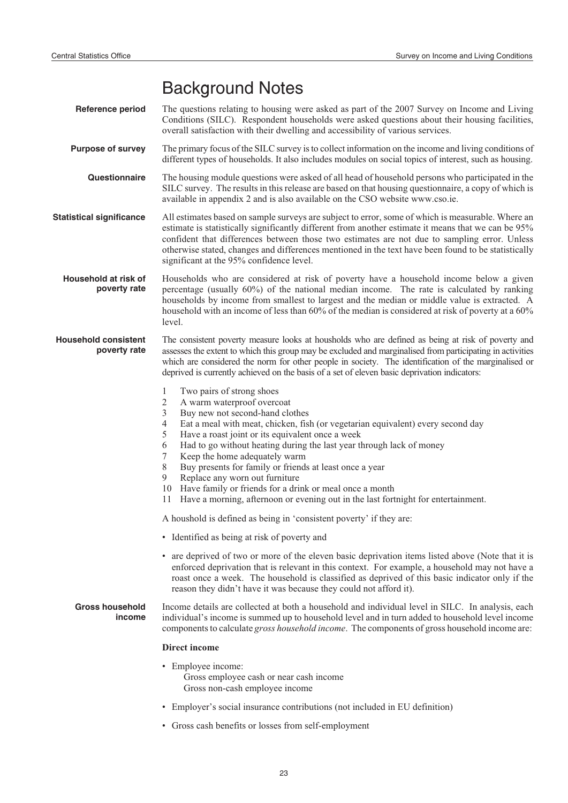# Background Notes

- **Reference period** The questions relating to housing were asked as part of the 2007 Survey on Income and Living Conditions (SILC). Respondent households were asked questions about their housing facilities, overall satisfaction with their dwelling and accessibility of various services.
- **Purpose of survey** The primary focus of the SILC survey is to collect information on the income and living conditions of different types of households. It also includes modules on social topics of interest, such as housing.
	- **Questionnaire** The housing module questions were asked of all head of household persons who participated in the SILC survey. The results in this release are based on that housing questionnaire, a copy of which is available in appendix 2 and is also available on the CSO website www.cso.ie.
- **Statistical significance** All estimates based on sample surveys are subject to error, some of which is measurable. Where an estimate is statistically significantly different from another estimate it means that we can be 95% confident that differences between those two estimates are not due to sampling error. Unless otherwise stated, changes and differences mentioned in the text have been found to be statistically significant at the 95% confidence level.

**Household at risk of poverty rate** Households who are considered at risk of poverty have a household income below a given percentage (usually 60%) of the national median income. The rate is calculated by ranking households by income from smallest to largest and the median or middle value is extracted. A household with an income of less than 60% of the median is considered at risk of poverty at a 60% level.

- **Household consistent poverty rate** The consistent poverty measure looks at housholds who are defined as being at risk of poverty and assesses the extent to which this group may be excluded and marginalised from participating in activities which are considered the norm for other people in society. The identification of the marginalised or deprived is currently achieved on the basis of a set of eleven basic deprivation indicators:
	- 1 Two pairs of strong shoes
	- 2 A warm waterproof overcoat
	- 3 Buy new not second-hand clothes<br>4 Eat a meal with meat, chicken, fis
	- 4 Eat a meal with meat, chicken, fish (or vegetarian equivalent) every second day<br>5 Have a roast ioint or its equivalent once a week
	- 5 Have a roast joint or its equivalent once a week<br>6 Had to go without heating during the last year the
	- 6 Had to go without heating during the last year through lack of money<br>7 Keep the home adequately warm
	- Keep the home adequately warm
	- 8 Buy presents for family or friends at least once a year
	- 9 Replace any worn out furniture
	- 10 Have family or friends for a drink or meal once a month
	- 11 Have a morning, afternoon or evening out in the last fortnight for entertainment.

A houshold is defined as being in 'consistent poverty' if they are:

- Identified as being at risk of poverty and
- are deprived of two or more of the eleven basic deprivation items listed above (Note that it is enforced deprivation that is relevant in this context. For example, a household may not have a roast once a week. The household is classified as deprived of this basic indicator only if the reason they didn't have it was because they could not afford it).

#### **Gross household income** Income details are collected at both a household and individual level in SILC. In analysis, each individual's income is summed up to household level and in turn added to household level income components to calculate *gross household income*. The components of gross household income are:

#### **Direct income**

- Employee income: Gross employee cash or near cash income Gross non-cash employee income
- Employer's social insurance contributions (not included in EU definition)
- Gross cash benefits or losses from self-employment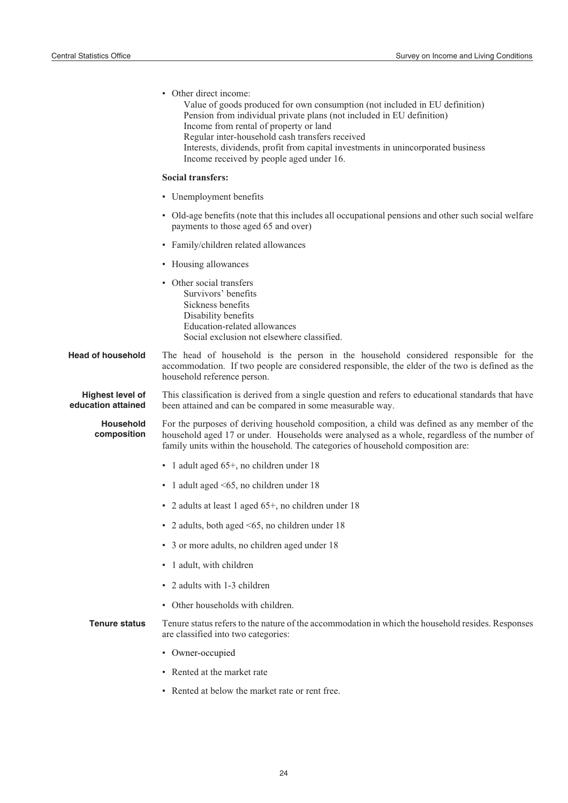|                                               | • Other direct income:<br>Value of goods produced for own consumption (not included in EU definition)<br>Pension from individual private plans (not included in EU definition)<br>Income from rental of property or land<br>Regular inter-household cash transfers received<br>Interests, dividends, profit from capital investments in unincorporated business<br>Income received by people aged under 16. |
|-----------------------------------------------|-------------------------------------------------------------------------------------------------------------------------------------------------------------------------------------------------------------------------------------------------------------------------------------------------------------------------------------------------------------------------------------------------------------|
|                                               | <b>Social transfers:</b>                                                                                                                                                                                                                                                                                                                                                                                    |
|                                               | • Unemployment benefits                                                                                                                                                                                                                                                                                                                                                                                     |
|                                               | • Old-age benefits (note that this includes all occupational pensions and other such social welfare<br>payments to those aged 65 and over)                                                                                                                                                                                                                                                                  |
|                                               | • Family/children related allowances                                                                                                                                                                                                                                                                                                                                                                        |
|                                               | • Housing allowances                                                                                                                                                                                                                                                                                                                                                                                        |
|                                               | • Other social transfers<br>Survivors' benefits<br>Sickness benefits<br>Disability benefits<br>Education-related allowances<br>Social exclusion not elsewhere classified.                                                                                                                                                                                                                                   |
| <b>Head of household</b>                      | The head of household is the person in the household considered responsible for the<br>accommodation. If two people are considered responsible, the elder of the two is defined as the<br>household reference person.                                                                                                                                                                                       |
| <b>Highest level of</b><br>education attained | This classification is derived from a single question and refers to educational standards that have<br>been attained and can be compared in some measurable way.                                                                                                                                                                                                                                            |
| <b>Household</b><br>composition               | For the purposes of deriving household composition, a child was defined as any member of the<br>household aged 17 or under. Households were analysed as a whole, regardless of the number of<br>family units within the household. The categories of household composition are:                                                                                                                             |
|                                               | • 1 adult aged 65+, no children under 18                                                                                                                                                                                                                                                                                                                                                                    |
|                                               | • 1 adult aged $\leq 65$ , no children under 18                                                                                                                                                                                                                                                                                                                                                             |
|                                               | • 2 adults at least 1 aged 65+, no children under 18                                                                                                                                                                                                                                                                                                                                                        |
|                                               | • 2 adults, both aged <65, no children under 18                                                                                                                                                                                                                                                                                                                                                             |
|                                               | • 3 or more adults, no children aged under 18                                                                                                                                                                                                                                                                                                                                                               |
|                                               | • 1 adult, with children                                                                                                                                                                                                                                                                                                                                                                                    |
|                                               | • 2 adults with 1-3 children                                                                                                                                                                                                                                                                                                                                                                                |
|                                               | • Other households with children.                                                                                                                                                                                                                                                                                                                                                                           |
| <b>Tenure status</b>                          | Tenure status refers to the nature of the accommodation in which the household resides. Responses<br>are classified into two categories:                                                                                                                                                                                                                                                                    |
|                                               | • Owner-occupied                                                                                                                                                                                                                                                                                                                                                                                            |
|                                               | • Rented at the market rate                                                                                                                                                                                                                                                                                                                                                                                 |
|                                               | • Rented at below the market rate or rent free.                                                                                                                                                                                                                                                                                                                                                             |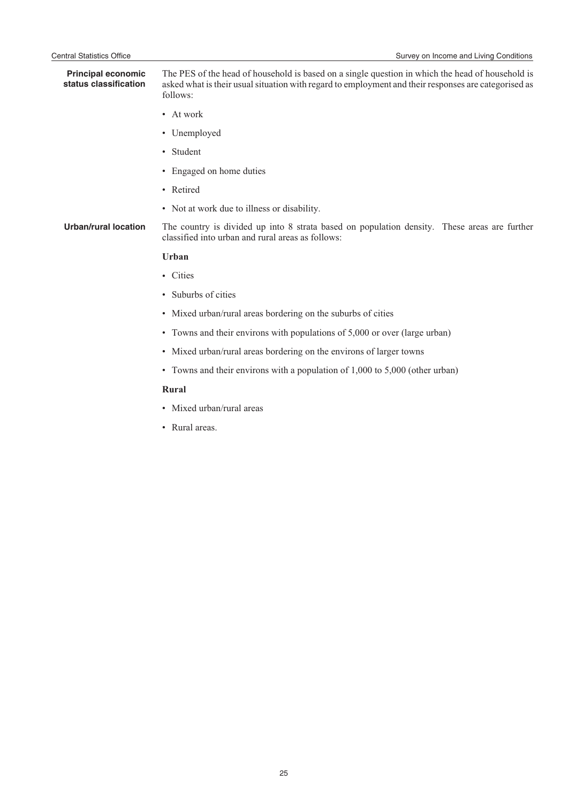**Principal economic status classification** The PES of the head of household is based on a single question in which the head of household is asked what is their usual situation with regard to employment and their responses are categorised as follows:

- At work
- Unemployed
- Student
- Engaged on home duties
- Retired
- Not at work due to illness or disability.

**Urban/rural location** The country is divided up into 8 strata based on population density. These areas are further classified into urban and rural areas as follows:

#### **Urban**

- Cities
- Suburbs of cities
- Mixed urban/rural areas bordering on the suburbs of cities
- Towns and their environs with populations of 5,000 or over (large urban)
- Mixed urban/rural areas bordering on the environs of larger towns
- Towns and their environs with a population of 1,000 to 5,000 (other urban)

#### **Rural**

- Mixed urban/rural areas
- Rural areas.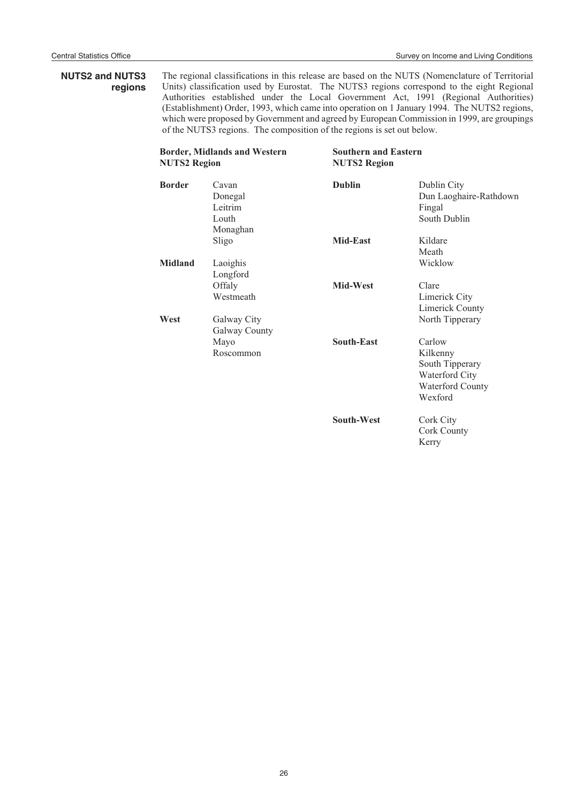$\bar{z}$ 

# **NUTS2 and NUTS3 regions**

The regional classifications in this release are based on the NUTS (Nomenclature of Territorial Units) classification used by Eurostat. The NUTS3 regions correspond to the eight Regional Authorities established under the Local Government Act, 1991 (Regional Authorities) (Establishment) Order, 1993, which came into operation on 1 January 1994. The NUTS2 regions, which were proposed by Government and agreed by European Commission in 1999, are groupings of the NUTS3 regions. The composition of the regions is set out below.

| <b>Border, Midlands and Western</b><br><b>NUTS2 Region</b> |                                                  | <b>Southern and Eastern</b><br><b>NUTS2 Region</b> |                                                                                               |  |
|------------------------------------------------------------|--------------------------------------------------|----------------------------------------------------|-----------------------------------------------------------------------------------------------|--|
| <b>Border</b>                                              | Cavan<br>Donegal<br>Leitrim<br>Louth<br>Monaghan | <b>Dublin</b>                                      | Dublin City<br>Dun Laoghaire-Rathdown<br>Fingal<br>South Dublin                               |  |
|                                                            | Sligo                                            | <b>Mid-East</b>                                    | Kildare<br>Meath                                                                              |  |
| <b>Midland</b>                                             | Laoighis<br>Longford                             |                                                    | Wicklow                                                                                       |  |
|                                                            | Offaly<br>Westmeath                              | Mid-West                                           | Clare<br>Limerick City<br>Limerick County                                                     |  |
| West                                                       | Galway City<br>Galway County                     |                                                    | North Tipperary                                                                               |  |
|                                                            | Mayo<br>Roscommon                                | South-East                                         | Carlow<br>Kilkenny<br>South Tipperary<br>Waterford City<br><b>Waterford County</b><br>Wexford |  |
|                                                            |                                                  | <b>South-West</b>                                  | Cork City<br>Cork County<br>Kerry                                                             |  |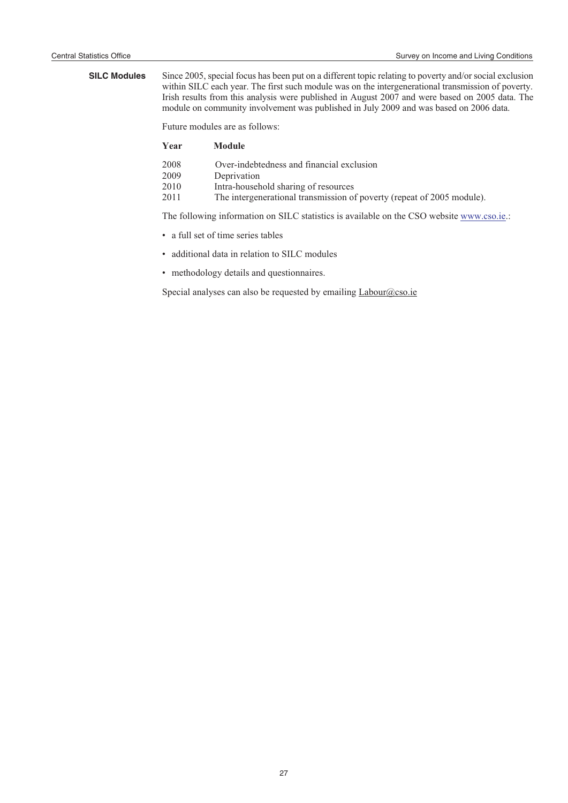**SILC Modules** Since 2005, special focus has been put on a different topic relating to poverty and/or social exclusion within SILC each year. The first such module was on the intergenerational transmission of poverty. Irish results from this analysis were published in August 2007 and were based on 2005 data. The module on community involvement was published in July 2009 and was based on 2006 data.

Future modules are as follows:

| Year | <b>Module</b>                                                          |
|------|------------------------------------------------------------------------|
| 2008 | Over-indebtedness and financial exclusion                              |
| 2009 | Deprivation                                                            |
| 2010 | Intra-household sharing of resources                                   |
| 2011 | The intergenerational transmission of poverty (repeat of 2005 module). |

The following information on SILC statistics is available on the CSO website www.cso.ie.:

- a full set of time series tables
- additional data in relation to SILC modules
- methodology details and questionnaires.

Special analyses can also be requested by emailing Labour@cso.ie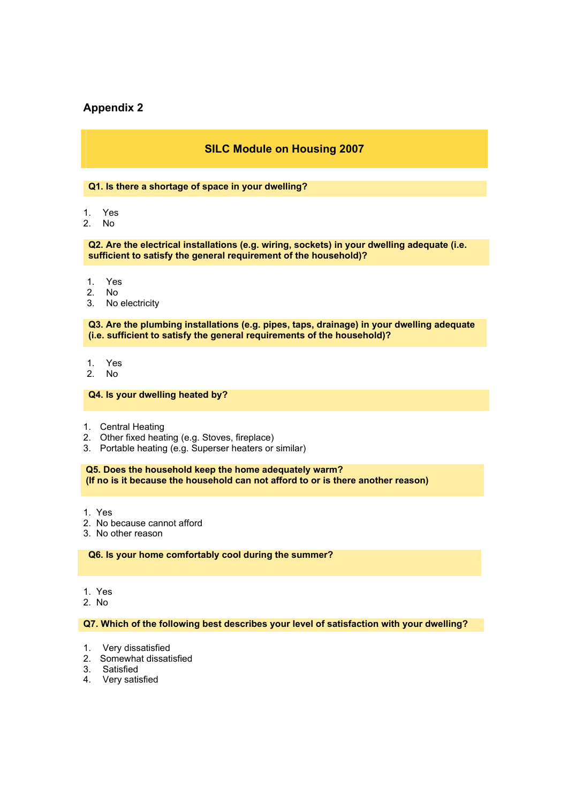# **Appendix 2**

# **SILC Module on Housing 2007**

#### **Q1. Is there a shortage of space in your dwelling?**

- 1. Yes
- 2. No

**Q2. Are the electrical installations (e.g. wiring, sockets) in your dwelling adequate (i.e. sufficient to satisfy the general requirement of the household)?** 

- 1. Yes
- 2. No
- 3. No electricity

**Q3. Are the plumbing installations (e.g. pipes, taps, drainage) in your dwelling adequate (i.e. sufficient to satisfy the general requirements of the household)?** 

- 1. Yes
- 2. No

#### **Q4. Is your dwelling heated by?**

- 1. Central Heating
- 2. Other fixed heating (e.g. Stoves, fireplace)
- 3. Portable heating (e.g. Superser heaters or similar)

**Q5. Does the household keep the home adequately warm? (If no is it because the household can not afford to or is there another reason)** 

- 1. Yes
- 2. No because cannot afford
- 3. No other reason

#### **Q6. Is your home comfortably cool during the summer?**

- 1. Yes
- 2. No

#### **Q7. Which of the following best describes your level of satisfaction with your dwelling?**

- 1. Very dissatisfied
- 2. Somewhat dissatisfied
- 3. Satisfied
- 4. Very satisfied